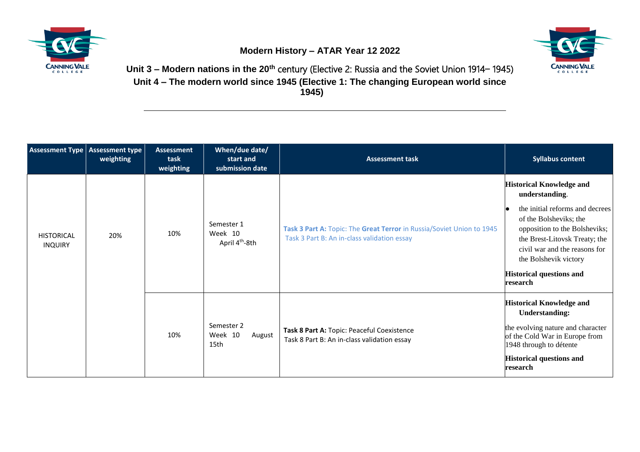





**Unit 3 – Modern nations in the 20th** century (Elective 2: Russia and the Soviet Union 1914− 1945) **Unit 4 – The modern world since 1945 (Elective 1: The changing European world since 1945)**

| Assessment Type   Assessment type   | weighting | <b>Assessment</b><br>task<br>weighting | When/due date/<br>start and<br>submission date      | <b>Assessment task</b>                                                                                               | <b>Syllabus content</b>                                                                                                                                                                                                                                                                   |
|-------------------------------------|-----------|----------------------------------------|-----------------------------------------------------|----------------------------------------------------------------------------------------------------------------------|-------------------------------------------------------------------------------------------------------------------------------------------------------------------------------------------------------------------------------------------------------------------------------------------|
| <b>HISTORICAL</b><br><b>INQUIRY</b> | 20%       | 10%                                    | Semester 1<br>Week 10<br>April 4 <sup>th</sup> -8th | Task 3 Part A: Topic: The Great Terror in Russia/Soviet Union to 1945<br>Task 3 Part B: An in-class validation essay | <b>Historical Knowledge and</b><br>understanding.<br>the initial reforms and decrees<br>of the Bolsheviks; the<br>opposition to the Bolsheviks;<br>the Brest-Litovsk Treaty; the<br>civil war and the reasons for<br>the Bolshevik victory<br><b>Historical questions and</b><br>research |
|                                     |           | 10%                                    | Semester 2<br>Week 10<br>August<br>15th             | Task 8 Part A: Topic: Peaceful Coexistence<br>Task 8 Part B: An in-class validation essay                            | <b>Historical Knowledge and</b><br><b>Understanding:</b><br>the evolving nature and character<br>of the Cold War in Europe from<br>1948 through to détente<br><b>Historical questions and</b><br>research                                                                                 |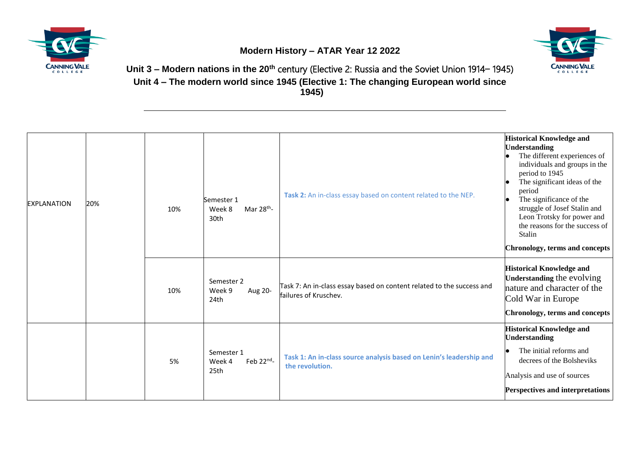

**Modern History – ATAR Year 12 2022**



**Unit 3 – Modern nations in the 20th** century (Elective 2: Russia and the Soviet Union 1914− 1945) **Unit 4 – The modern world since 1945 (Elective 1: The changing European world since 1945)**

| <b>EXPLANATION</b> | 20% | 10% | Semester 1<br>Mar $28^{th}$ -<br>Week 8<br>30th | Task 2: An in-class essay based on content related to the NEP.                                 | <b>Historical Knowledge and</b><br><b>Understanding</b><br>The different experiences of<br>individuals and groups in the<br>period to 1945<br>The significant ideas of the<br>period<br>The significance of the<br>struggle of Josef Stalin and<br>Leon Trotsky for power and<br>the reasons for the success of<br>Stalin<br>Chronology, terms and concepts |
|--------------------|-----|-----|-------------------------------------------------|------------------------------------------------------------------------------------------------|-------------------------------------------------------------------------------------------------------------------------------------------------------------------------------------------------------------------------------------------------------------------------------------------------------------------------------------------------------------|
|                    |     | 10% | Semester 2<br>Week 9<br>Aug 20-<br>24th         | Task 7: An in-class essay based on content related to the success and<br>failures of Kruschev. | <b>Historical Knowledge and</b><br><b>Understanding the evolving</b><br>nature and character of the<br>Cold War in Europe<br>Chronology, terms and concepts                                                                                                                                                                                                 |
|                    |     | 5%  | Semester 1<br>Feb $22^{nd}$ -<br>Week 4<br>25th | Task 1: An in-class source analysis based on Lenin's leadership and<br>the revolution.         | <b>Historical Knowledge and</b><br><b>Understanding</b><br>The initial reforms and<br>decrees of the Bolsheviks<br>Analysis and use of sources<br>Perspectives and interpretations                                                                                                                                                                          |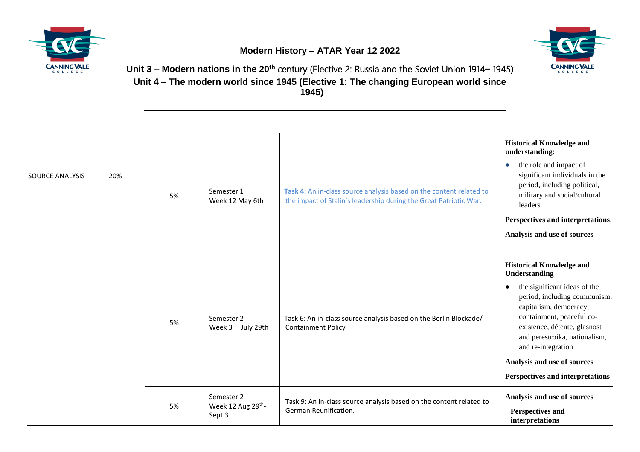





**Unit 3 – Modern nations in the 20th** century (Elective 2: Russia and the Soviet Union 1914− 1945) **Unit 4 – The modern world since 1945 (Elective 1: The changing European world since 1945)**

| <b>SOURCE ANALYSIS</b> | 20% | 5% | Semester 1<br>Week 12 May 6th                          | Task 4: An in-class source analysis based on the content related to<br>the impact of Stalin's leadership during the Great Patriotic War. | <b>Historical Knowledge and</b><br>understanding:<br>the role and impact of<br>significant individuals in the<br>period, including political,<br>military and social/cultural<br>leaders<br>Perspectives and interpretations.<br>Analysis and use of sources                                                                             |
|------------------------|-----|----|--------------------------------------------------------|------------------------------------------------------------------------------------------------------------------------------------------|------------------------------------------------------------------------------------------------------------------------------------------------------------------------------------------------------------------------------------------------------------------------------------------------------------------------------------------|
|                        |     | 5% | Semester 2<br>Week 3 July 29th                         | Task 6: An in-class source analysis based on the Berlin Blockade/<br><b>Containment Policy</b>                                           | <b>Historical Knowledge and</b><br><b>Understanding</b><br>the significant ideas of the<br>period, including communism,<br>capitalism, democracy,<br>containment, peaceful co-<br>existence, détente, glasnost<br>and perestroika, nationalism,<br>and re-integration<br>Analysis and use of sources<br>Perspectives and interpretations |
|                        |     | 5% | Semester 2<br>Week 12 Aug 29 <sup>th</sup> -<br>Sept 3 | Task 9: An in-class source analysis based on the content related to<br>German Reunification.                                             | Analysis and use of sources<br>Perspectives and<br>interpretations                                                                                                                                                                                                                                                                       |